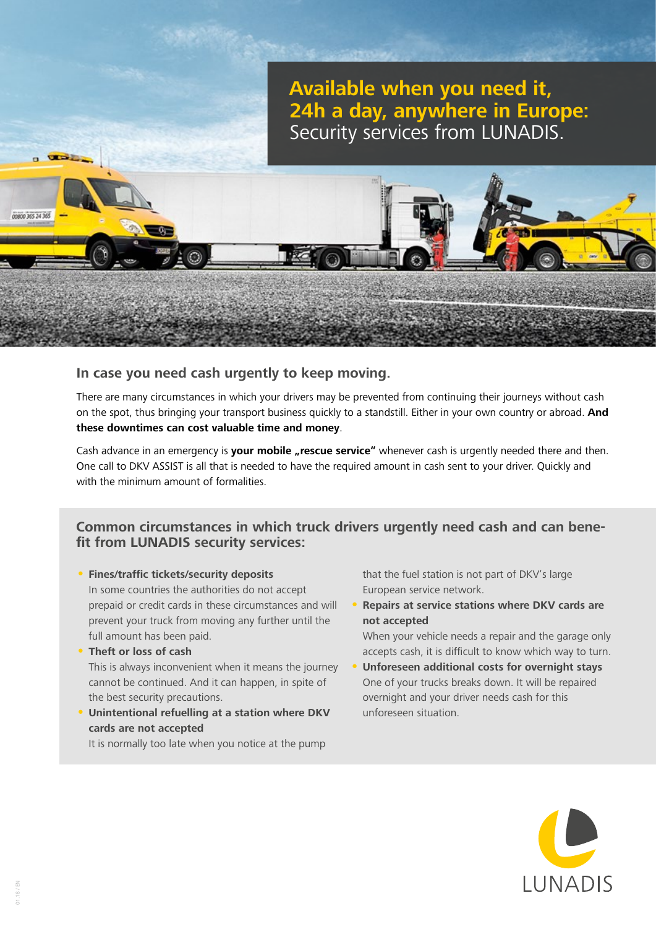# **Available when you need it, 24h a day, anywhere in Europe:**  Security services from LUNADIS.

# **In case you need cash urgently to keep moving.**

There are many circumstances in which your drivers may be prevented from continuing their journeys without cash on the spot, thus bringing your transport business quickly to a standstill. Either in your own country or abroad. **And these downtimes can cost valuable time and money**.

Cash advance in an emergency is your mobile "rescue service" whenever cash is urgently needed there and then. One call to DKV ASSIST is all that is needed to have the required amount in cash sent to your driver. Quickly and with the minimum amount of formalities.

# **Common circumstances in which truck drivers urgently need cash and can benefit from LUNADIS security services:**

- **• Fines/traffic tickets/security deposits** In some countries the authorities do not accept prepaid or credit cards in these circumstances and will prevent your truck from moving any further until the full amount has been paid.
- **• Theft or loss of cash** This is always inconvenient when it means the journey cannot be continued. And it can happen, in spite of the best security precautions.
- **• Unintentional refuelling at a station where DKV cards are not accepted**

It is normally too late when you notice at the pump

that the fuel station is not part of DKV's large European service network.

**• Repairs at service stations where DKV cards are not accepted**

When your vehicle needs a repair and the garage only accepts cash, it is difficult to know which way to turn.

**• Unforeseen additional costs for overnight stays** One of your trucks breaks down. It will be repaired overnight and your driver needs cash for this unforeseen situation.



00800 365 24 365